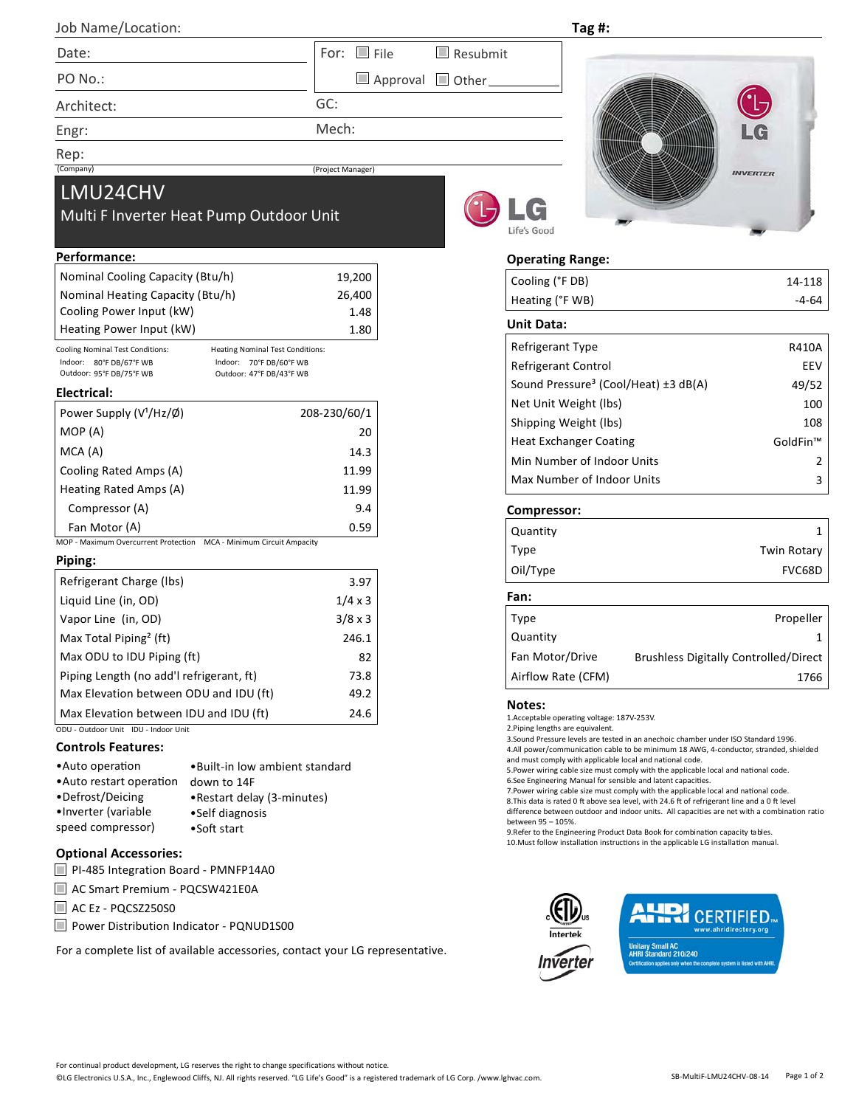| $300$ $13011C$ $1000$ |                                             | . |
|-----------------------|---------------------------------------------|---|
| Date:                 | For: $\Box$ File<br>$\blacksquare$ Resubmit |   |
| PO No.:               | $\Box$ Approval $\Box$ Other                |   |
| Architect:            | GC:                                         |   |

Mech:

(Project Manager)

Engr:

Rep:<br>(Company)

# LMU24CHV

Job Name/Location:

# Multi F Inverter Heat Pump Outdoor Unit

#### **Performance:**

| Nominal Cooling Capacity (Btu/h) | 19,200 |
|----------------------------------|--------|
| Nominal Heating Capacity (Btu/h) | 26,400 |
| Cooling Power Input (kW)         | 1.48   |
| Heating Power Input (kW)         | 1.80   |
|                                  |        |

Cooling Nominal Test Conditions:<br>
Indoor: 80°F DB/67°F WB<br>
Indoor: 70°F DB/60°F WB Indoor: 80°F DB/67°F WB Indoor: 70°F DB/60°F WB Outdoor: 95°F DB/75°F WB Outdoor: 47°F DB/43°F WB

#### **Electrical:**

| Power Supply $(V1/Hz/\emptyset)$ | 208-230/60/1 |
|----------------------------------|--------------|
| MOP(A)                           | 20           |
| MCA (A)                          | 14.3         |
| Cooling Rated Amps (A)           | 11.99        |
| Heating Rated Amps (A)           | 11.99        |
| Compressor (A)                   | 9.4          |
| Fan Motor (A)                    | 0.59         |

MOP ‐ Maximum Overcurrent Protection MCA ‐ Minimum Circuit Ampacity

## **Piping:**

| Refrigerant Charge (Ibs)                 | 3.97           |
|------------------------------------------|----------------|
| Liquid Line (in, OD)                     | $1/4 \times 3$ |
| Vapor Line (in, OD)                      | 3/8 x 3        |
| Max Total Piping <sup>2</sup> (ft)       | 246.1          |
| Max ODU to IDU Piping (ft)               | 82             |
| Piping Length (no add'l refrigerant, ft) | 73.8           |
| Max Elevation between ODU and IDU (ft)   | 49.2           |
| Max Elevation between IDU and IDU (ft)   | 24.6           |

ODU ‐ Outdoor Unit IDU ‐ Indoor Unit

## **Controls Features:**

| • Auto operation         | . Built-in low ambient standard |
|--------------------------|---------------------------------|
| • Auto restart operation | down to 14F                     |
| •Defrost/Deicing         | • Restart delay (3-minutes)     |
| •Inverter (variable      | •Self diagnosis                 |
| speed compressor)        | •Soft start                     |

## **Optional Accessories:**

|  |  |  |  | PI-485 Integration Board - PMNFP14A0 |
|--|--|--|--|--------------------------------------|
|--|--|--|--|--------------------------------------|

■ AC Smart Premium - PQCSW421E0A

- AC Ez PQCSZ250S0
- Power Distribution Indicator PQNUD1S00

For a complete list of available accessories, contact your LG representative.





## **Operating Range:**

**Tag #:**

| Cooling (°F DB) | 14-118 |
|-----------------|--------|
| Heating (°F WB) | -4-64  |
|                 |        |

## **Unit Data:**

| Refrigerant Type                                 | R410A    |
|--------------------------------------------------|----------|
| Refrigerant Control                              | FFV      |
| Sound Pressure <sup>3</sup> (Cool/Heat) ±3 dB(A) | 49/52    |
| Net Unit Weight (lbs)                            | 100      |
| Shipping Weight (lbs)                            | 108      |
| <b>Heat Exchanger Coating</b>                    | GoldFin™ |
| Min Number of Indoor Units                       | 2        |
| Max Number of Indoor Units                       | ς        |

#### **Compressor:**

| Quantity    |                    |
|-------------|--------------------|
| <b>Type</b> | <b>Twin Rotary</b> |
| Oil/Type    | FVC68D             |

## **Fan:**

| <b>Type</b>        | Propeller                                    |
|--------------------|----------------------------------------------|
| Quantity           |                                              |
| Fan Motor/Drive    | <b>Brushless Digitally Controlled/Direct</b> |
| Airflow Rate (CFM) | 1766                                         |

#### **Notes:**

1.Acceptable operaƟng voltage: 187V‐253V.

2.Piping lengths are equivalent.

3.Sound Pressure levels are tested in an anechoic chamber under ISO Standard 1996. 4.All power/communication cable to be minimum 18 AWG, 4-conductor, stranded, shielded and must comply with applicable local and national code.

5. Power wiring cable size must comply with the applicable local and national code. 6.See Engineering Manual for sensible and latent capacities.

7. Power wiring cable size must comply with the applicable local and national code.

8. This data is rated 0 ft above sea level, with 24.6 ft of refrigerant line and a 0 ft level difference between outdoor and indoor units. All capacities are net with a combination ratio between 95 – 105%.

9. Refer to the Engineering Product Data Book for combination capacity tables. 10. Must follow installation instructions in the applicable LG installation manual.